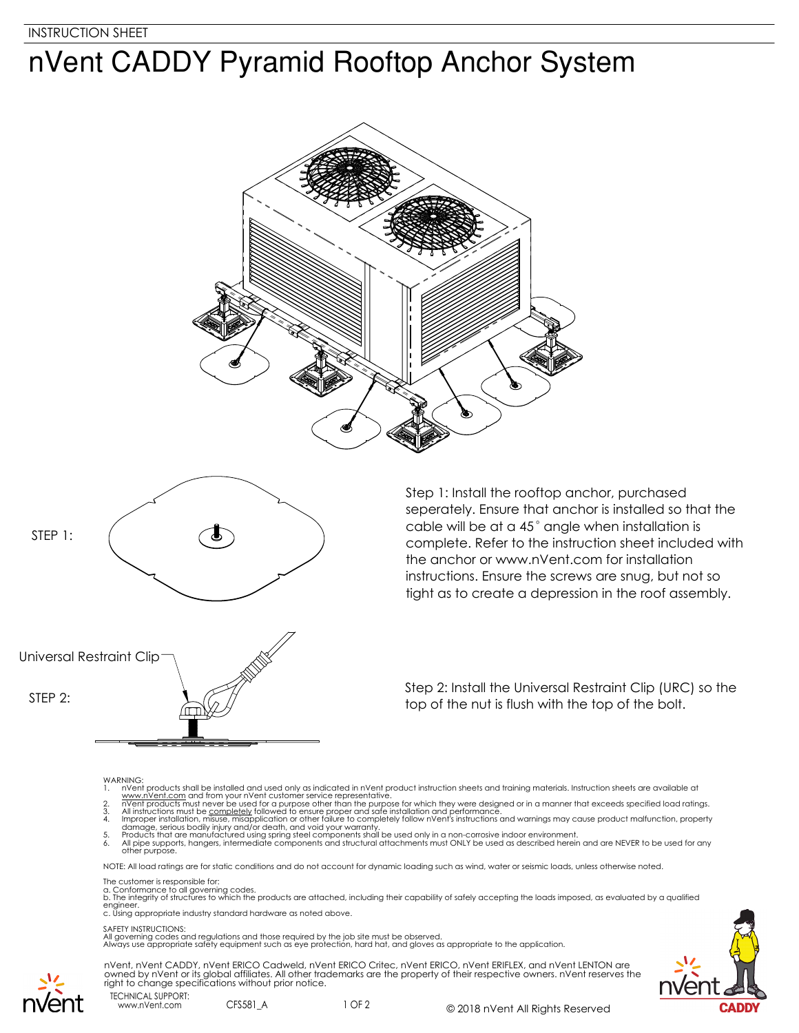## nVent CADDY Pyramid Rooftop Anchor System





Step 1: Install the rooftop anchor, purchased seperately. Ensure that anchor is installed so that the cable will be at a 45° angle when installation is complete. Refer to the instruction sheet included with the anchor or www.nVent.com for installation instructions. Ensure the screws are snug, but not so tight as to create a depression in the roof assembly.

Universal Restraint Clip

Step 2: Install the Universal Restraint Clip (URC) so the STEP 2:  $\frac{1}{\sqrt{2}}$  top of the nut is flush with the top of the bolt.

- 
- 
- 
- WARNING:<br>
1. Note that products shall be installed and used only as indicated in nVent product instruction sheets and training materials. Instruction sheets are available at<br>
1. www.nVent.com and from your nVent customer s

NOTE: All load ratings are for static conditions and do not account for dynamic loading such as wind, water or seismic loads, unless otherwise noted.

The customer is responsible for:

a. Conformance to all governing codes.<br>b. The integrity of structures to which the products are attached, including their capability of safely accepting the loads imposed, as evaluated by a qualified engineer. c. Using appropriate industry standard hardware as noted above.

## SAFETY INSTRUCTIONS:

All governing codes and regulations and those required by the job site must be observed. Always use appropriate safety equipment such as eye protection, hard hat, and gloves as appropriate to the application.



TECHNICAL SUPPORT: nVent, nVent CADDY, nVent ERICO Cadweld, nVent ERICO Critec, nVent ERICO, nVent ERIFLEX, and nVent LENTON are owned by nVent or its global affiliates. All other trademarks are the property of their respective owners. nVent reserves the right to change specifications without prior notice.

www.nVent.com CFS581 A